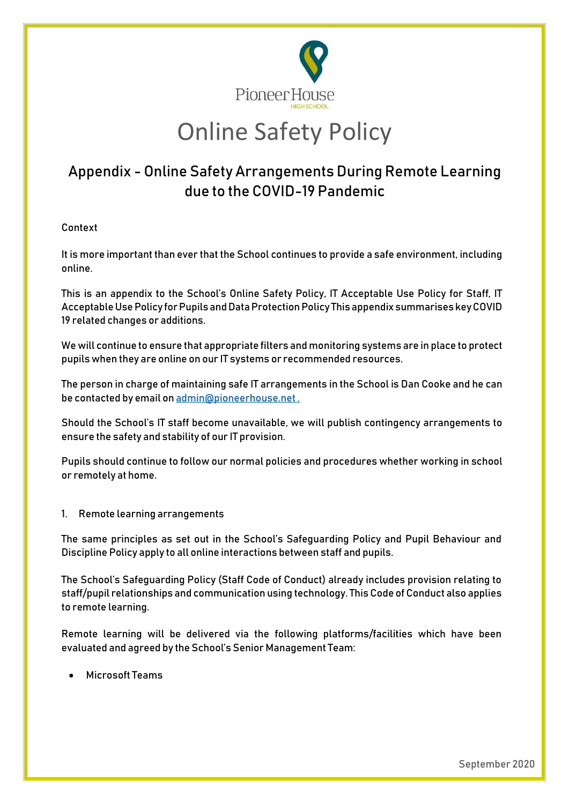

# Online Safety Policy

## Appendix - Online Safety Arrangements During Remote Learning due to the COVID-19 Pandemic

### **Context**

It is more important than ever that the School continues to provide a safe environment, including online.

This is an appendix to the School's Online Safety Policy, IT Acceptable Use Policy for Staff, IT Acceptable Use Policy for Pupils and Data Protection Policy This appendix summarises key COVID 19 related changes or additions.

We will continue to ensure that appropriate filters and monitoring systems are in place to protect pupils when they are online on our IT systems or recommended resources.

The person in charge of maintaining safe IT arrangements in the School is Dan Cooke and he can be contacted by email o[n admin@pioneerhouse.net](mailto:admin@pioneerhouse.net) .

Should the School's IT staff become unavailable, we will publish contingency arrangements to ensure the safety and stability of our IT provision.

Pupils should continue to follow our normal policies and procedures whether working in school or remotely at home.

**1. Remote learning arrangements**

The same principles as set out in the School's Safeguarding Policy and Pupil Behaviour and Discipline Policy apply to all online interactions between staff and pupils.

The School's Safeguarding Policy (Staff Code of Conduct) already includes provision relating to staff/pupil relationships and communication using technology. This Code of Conduct also applies to remote learning.

Remote learning will be delivered via the following platforms/facilities which have been evaluated and agreed by the School's Senior Management Team:

Microsoft Teams